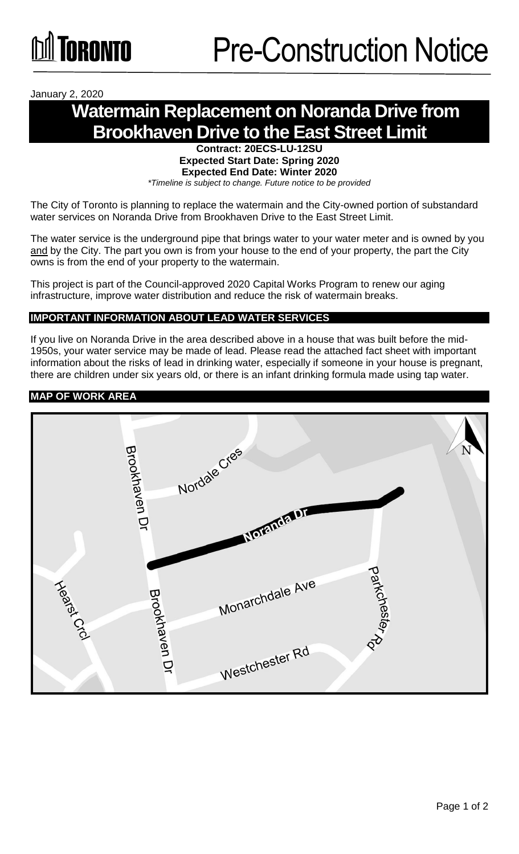January 2, 2020

# **Watermain Replacement on Noranda Drive from Brookhaven Drive to the East Street Limit**

**Contract: 20ECS-LU-12SU Expected Start Date: Spring 2020 Expected End Date: Winter 2020**  *\*Timeline is subject to change. Future notice to be provided*

The City of Toronto is planning to replace the watermain and the City-owned portion of substandard water services on Noranda Drive from Brookhaven Drive to the East Street Limit.

The water service is the underground pipe that brings water to your water meter and is owned by you and by the City. The part you own is from your house to the end of your property, the part the City owns is from the end of your property to the watermain.

This project is part of the Council-approved 2020 Capital Works Program to renew our aging infrastructure, improve water distribution and reduce the risk of watermain breaks.

#### **IMPORTANT INFORMATION ABOUT LEAD WATER SERVICES**

If you live on Noranda Drive in the area described above in a house that was built before the mid-1950s, your water service may be made of lead. Please read the attached fact sheet with important information about the risks of lead in drinking water, especially if someone in your house is pregnant, there are children under six years old, or there is an infant drinking formula made using tap water.

## **MAP OF WORK AREA**